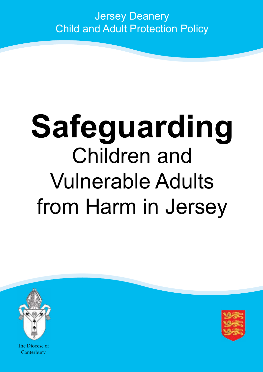### Jersey Deanery Child and Adult Protection Policy

# **Safeguarding** Children and Vulnerable Adults from Harm in Jersey



The Diocese of Canterbury

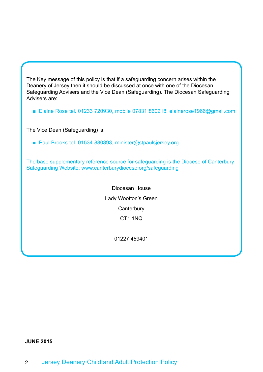The Key message of this policy is that if a safeguarding concern arises within the Deanery of Jersey then it should be discussed at once with one of the Diocesan Safeguarding Advisers and the Vice Dean (Safeguarding). The Diocesan Safeguarding Advisers are:

■ Elaine Rose tel. 01233 720930, mobile 07831 860218, elainerose1966@gmail.com

The Vice Dean (Safeguarding) is:

■ Paul Brooks tel. 01534 880393, minister@stpaulsjersey.org

The base supplementary reference source for safeguarding is the Diocese of Canterbury Safeguarding Website:<www.canterburydiocese.org/safeguarding>

> Diocesan House Lady Wootton's Green **Canterbury** CT1 1NQ

> > 01227 459401

#### **JUNE 2015**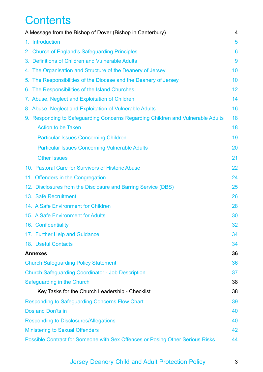### **Contents**

| A Message from the Bishop of Dover (Bishop in Canterbury)                       | 4  |
|---------------------------------------------------------------------------------|----|
| 1. Introduction                                                                 | 5  |
| 2. Church of England's Safeguarding Principles                                  | 6  |
| 3. Definitions of Children and Vulnerable Adults                                | 9  |
| 4. The Organisation and Structure of the Deanery of Jersey                      | 10 |
| 5. The Responsibilities of the Diocese and the Deanery of Jersey                | 10 |
| 6. The Responsibilities of the Island Churches                                  | 12 |
| 7. Abuse, Neglect and Exploitation of Children                                  | 14 |
| 8. Abuse, Neglect and Exploitation of Vulnerable Adults                         | 16 |
| 9. Responding to Safeguarding Concerns Regarding Children and Vulnerable Adults | 18 |
| <b>Action to be Taken</b>                                                       | 18 |
| <b>Particular Issues Concerning Children</b>                                    | 19 |
| <b>Particular Issues Concerning Vulnerable Adults</b>                           | 20 |
| <b>Other Issues</b>                                                             | 21 |
| 10. Pastoral Care for Survivors of Historic Abuse                               | 22 |
| 11. Offenders in the Congregation                                               | 24 |
| 12. Disclosures from the Disclosure and Barring Service (DBS)                   | 25 |
| 13. Safe Recruitment                                                            | 26 |
| 14. A Safe Environment for Children                                             | 28 |
| 15. A Safe Environment for Adults                                               | 30 |
| 16. Confidentiality                                                             | 32 |
| 17. Further Help and Guidance                                                   | 34 |
| 18. Useful Contacts                                                             | 34 |
| <b>Annexes</b>                                                                  | 36 |
| <b>Church Safeguarding Policy Statement</b>                                     | 36 |
| <b>Church Safeguarding Coordinator - Job Description</b>                        | 37 |
| Safeguarding in the Church                                                      | 38 |
| Key Tasks for the Church Leadership - Checklist                                 | 38 |
| <b>Responding to Safeguarding Concerns Flow Chart</b>                           | 39 |
| Dos and Don'ts in                                                               | 40 |
| <b>Responding to Disclosures/Allegations</b>                                    | 40 |
| <b>Ministering to Sexual Offenders</b>                                          | 42 |
| Possible Contract for Someone with Sex Offences or Posing Other Serious Risks   | 44 |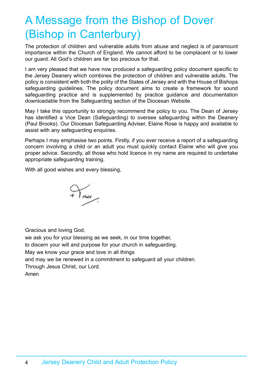### <span id="page-3-0"></span>A Message from the Bishop of Dover (Bishop in Canterbury)

The protection of children and vulnerable adults from abuse and neglect is of paramount importance within the Church of England. We cannot afford to be complacent or to lower our guard. All God's children are far too precious for that.

I am very pleased that we have now produced a safeguarding policy document specific to the Jersey Deanery which combines the protection of children and vulnerable adults. The policy is consistent with both the polity of the States of Jersey and with the House of Bishops safeguarding guidelines. The policy document aims to create a framework for sound safeguarding practice and is supplemented by practice guidance and documentation downloadable from the Safeguarding section of the Diocesan Website.

May I take this opportunity to strongly recommend the policy to you. The Dean of Jersey has identified a Vice Dean (Safeguarding) to oversee safeguarding within the Deanery (Paul Brooks). Our Diocesan Safeguarding Adviser, Elaine Rose is happy and available to assist with any safeguarding enquiries.

Perhaps I may emphasise two points. Firstly, if you ever receive a report of a safeguarding concern involving a child or an adult you must quickly contact Elaine who will give you proper advice. Secondly, all those who hold licence in my name are required to undertake appropriate safeguarding training.

With all good wishes and every blessing,



Gracious and loving God,

we ask you for your blessing as we seek, in our time together, to discern your will and purpose for your church in safeguarding. May we know your grace and love in all things and may we be renewed in a commitment to safeguard all your children. Through Jesus Christ, our Lord. Amen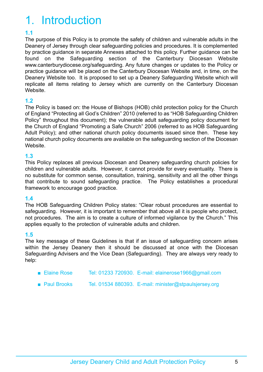# <span id="page-4-0"></span>1. Introduction

### **1.1**

The purpose of this Policy is to promote the safety of children and vulnerable adults in the Deanery of Jersey through clear safeguarding policies and procedures. It is complemented by practice guidance in separate Annexes attached to this policy. Further guidance can be found on the Safeguarding section of the Canterbury Diocesan Website www.canterburydiocese.org/safeguarding. Any future changes or updates to the Policy or practice guidance will be placed on the Canterbury Diocesan Website and, in time, on the Deanery Website too. It is proposed to set up a Deanery Safeguarding Website which will replicate all items relating to Jersey which are currently on the Canterbury Diocesan Website.

### **1.2**

The Policy is based on: the House of Bishops (HOB) child protection policy for the Church of England "Protecting all God's Children" 2010 (referred to as "HOB Safeguarding Children Policy" throughout this document); the vulnerable adult safeguarding policy document for the Church of England "Promoting a Safe Church" 2006 (referred to as HOB Safeguarding Adult Policy); and other national church policy documents issued since then. These key national church policy documents are available on the safeguarding section of the Diocesan Website.

### **1.3**

This Policy replaces all previous Diocesan and Deanery safeguarding church policies for children and vulnerable adults. However, it cannot provide for every eventuality. There is no substitute for common sense, consultation, training, sensitivity and all the other things that contribute to sound safeguarding practice. The Policy establishes a procedural framework to encourage good practice.

### **1.4**

The HOB Safeguarding Children Policy states: "Clear robust procedures are essential to safeguarding. However, it is important to remember that above all it is people who protect, not procedures. The aim is to create a culture of informed vigilance by the Church." This applies equally to the protection of vulnerable adults and children.

### **1.5**

The key message of these Guidelines is that if an issue of safeguarding concern arises within the Jersey Deanery then it should be discussed at once with the Diocesan Safeguarding Advisers and the Vice Dean (Safeguarding). They are always very ready to help:

- Elaine Rose Tel: 01233 720930. E-mail: elainerose1966@gmail.com
- Paul Brooks Tel. 01534 880393. E-mail: minister@stpaulsjersey.org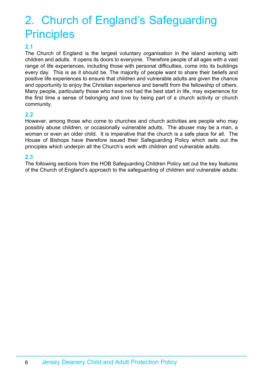### <span id="page-5-0"></span>2. Church of England's Safeguarding **Principles**

### **2.1**

The Church of England is the largest voluntary organisation in the island working with children and adults. It opens its doors to everyone. Therefore people of all ages with a vast range of life experiences, including those with personal difficulties, come into its buildings every day. This is as it should be. The majority of people want to share their beliefs and positive life experiences to ensure that children and vulnerable adults are given the chance and opportunity to enjoy the Christian experience and benefit from the fellowship of others. Many people, particularly those who have not had the best start in life, may experience for the first time a sense of belonging and love by being part of a church activity or church community.

#### **2.2**

However, among those who come to churches and church activities are people who may possibly abuse children, or occasionally vulnerable adults. The abuser may be a man, a woman or even an older child. It is imperative that the church is a safe place for all. The House of Bishops have therefore issued their Safeguarding Policy which sets out the principles which underpin all the Church's work with children and vulnerable adults.

### **2.3**

The following sections from the HOB Safeguarding Children Policy set out the key features of the Church of England's approach to the safeguarding of children and vulnerable adults: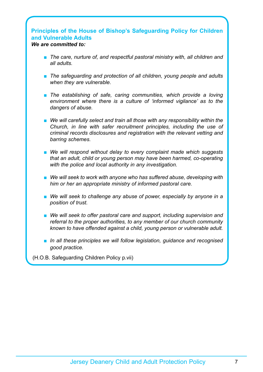#### **Principles of the House of Bishop's Safeguarding Policy for Children and Vulnerable Adults** *We are committed to:*

- *The care, nurture of, and respectful pastoral ministry with, all children and all adults.*
- *The safeguarding and protection of all children, young people and adults when they are vulnerable.*
- The establishing of safe, caring communities, which provide a loving *environment where there is a culture of 'informed vigilance' as to the dangers of abuse.*
- We will carefully select and train all those with any responsibility within the *Church, in line with safer recruitment principles, including the use of criminal records disclosures and registration with the relevant vetting and barring schemes.*
- We will respond without delay to every complaint made which suggests *that an adult, child or young person may have been harmed, co-operating with the police and local authority in any investigation.*
- We will seek to work with anyone who has suffered abuse, developing with *him or her an appropriate ministry of informed pastoral care.*
- We will seek to challenge any abuse of power, especially by anyone in a *position of trust.*
- We will seek to offer pastoral care and support, including supervision and *referral to the proper authorities, to any member of our church community known to have offended against a child, young person or vulnerable adult.*
- *In all these principles we will follow legislation, quidance and recognised good practice.*
- (H.O.B. Safeguarding Children Policy p.vii)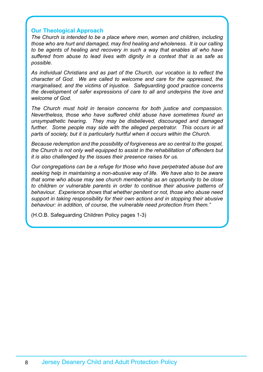#### **Our Theological Approach**

*The Church is intended to be a place where men, women and children, including those who are hurt and damaged, may find healing and wholeness. It is our calling to be agents of healing and recovery in such a way that enables all who have suffered from abuse to lead lives with dignity in a context that is as safe as possible.*

*As individual Christians and as part of the Church, our vocation is to reflect the character of God. We are called to welcome and care for the oppressed, the marginalised, and the victims of injustice. Safeguarding good practice concerns the development of safer expressions of care to all and underpins the love and welcome of God.*

*The Church must hold in tension concerns for both justice and compassion. Nevertheless, those who have suffered child abuse have sometimes found an unsympathetic hearing. They may be disbelieved, discouraged and damaged*  further. Some people may side with the alleged perpetrator. This occurs in all *parts of society, but it is particularly hurtful when it occurs within the Church.*

*Because redemption and the possibility of forgiveness are so central to the gospel, the Church is not only well equipped to assist in the rehabilitation of offenders but it is also challenged by the issues their presence raises for us.*

*Our congregations can be a refuge for those who have perpetrated abuse but are seeking help in maintaining a non-abusive way of life. We have also to be aware that some who abuse may see church membership as an opportunity to be close to children or vulnerable parents in order to continue their abusive patterns of behaviour. Experience shows that whether penitent or not, those who abuse need support in taking responsibility for their own actions and in stopping their abusive behaviour: in addition, of course, the vulnerable need protection from them."*

(H.O.B. Safeguarding Children Policy pages 1-3)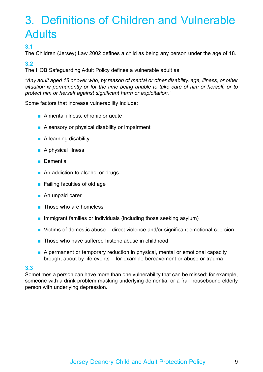# <span id="page-8-0"></span>3. Definitions of Children and Vulnerable **Adults**

### **3.1**

The Children (Jersey) Law 2002 defines a child as being any person under the age of 18.

### **3.2**

The HOB Safeguarding Adult Policy defines a vulnerable adult as:

*"Any adult aged 18 or over who, by reason of mental or other disability, age, illness, or other situation is permanently or for the time being unable to take care of him or herself, or to protect him or herself against significant harm or exploitation."*

Some factors that increase vulnerability include:

- A mental illness, chronic or acute
- A sensory or physical disability or impairment
- A learning disability
- A physical illness
- Dementia
- An addiction to alcohol or drugs
- Failing faculties of old age
- An unpaid carer
- Those who are homeless
- Immigrant families or individuals (including those seeking asylum)
- Victims of domestic abuse direct violence and/or significant emotional coercion
- Those who have suffered historic abuse in childhood
- A permanent or temporary reduction in physical, mental or emotional capacity brought about by life events – for example bereavement or abuse or trauma

### **3.3**

Sometimes a person can have more than one vulnerability that can be missed; for example, someone with a drink problem masking underlying dementia; or a frail housebound elderly person with underlying depression.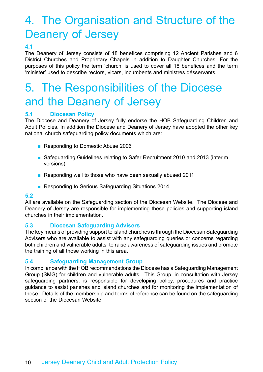# <span id="page-9-0"></span>4. The Organisation and Structure of the Deanery of Jersey

### **4.1**

The Deanery of Jersey consists of 18 benefices comprising 12 Ancient Parishes and 6 District Churches and Proprietary Chapels in addition to Daughter Churches. For the purposes of this policy the term 'church' is used to cover all 18 benefices and the term 'minister' used to describe rectors, vicars, incumbents and ministres désservants.

### 5. The Responsibilities of the Diocese and the Deanery of Jersey

### **5.1 Diocesan Policy**

The Diocese and Deanery of Jersey fully endorse the HOB Safeguarding Children and Adult Policies. In addition the Diocese and Deanery of Jersey have adopted the other key national church safeguarding policy documents which are:

- Responding to Domestic Abuse 2006
- Safeguarding Guidelines relating to Safer Recruitment 2010 and 2013 (interim versions)
- Responding well to those who have been sexually abused 2011
- Responding to Serious Safeguarding Situations 2014

#### **5.2**

All are available on the Safeguarding section of the Diocesan Website. The Diocese and Deanery of Jersey are responsible for implementing these policies and supporting island churches in their implementation.

### **5.3 Diocesan Safeguarding Advisers**

The key means of providing support to island churches is through the Diocesan Safeguarding Advisers who are available to assist with any safeguarding queries or concerns regarding both children and vulnerable adults, to raise awareness of safeguarding issues and promote the training of all those working in this area.

### **5.4 Safeguarding Management Group**

In compliance with the HOB recommendations the Diocese has a Safeguarding Management Group (SMG) for children and vulnerable adults. This Group, in consultation with Jersey safeguarding partners, is responsible for developing policy, procedures and practice guidance to assist parishes and island churches and for monitoring the implementation of these. Details of the membership and terms of reference can be found on the safeguarding section of the Diocesan Website.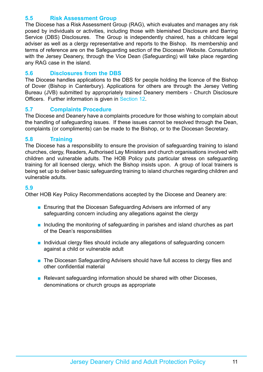### **5.5 Risk Assessment Group**

The Diocese has a Risk Assessment Group (RAG), which evaluates and manages any risk posed by individuals or activities, including those with blemished Disclosure and Barring Service (DBS) Disclosures. The Group is independently chaired, has a childcare legal adviser as well as a clergy representative and reports to the Bishop. Its membership and terms of reference are on the Safeguarding section of the Diocesan Website. Consultation with the Jersey Deanery, through the Vice Dean (Safeguarding) will take place regarding any RAG case in the island.

### **5.6 Disclosures from the DBS**

The Diocese handles applications to the DBS for people holding the licence of the Bishop of Dover (Bishop in Canterbury). Applications for others are through the Jersey Vetting Bureau (JVB) submitted by appropriately trained Deanery members - Church Disclosure Officers. Further information is given in Section 12.

### **5.7 Complaints Procedure**

The Diocese and Deanery have a complaints procedure for those wishing to complain about the handling of safeguarding issues. If these issues cannot be resolved through the Dean, complaints (or compliments) can be made to the Bishop, or to the Diocesan Secretary.

### **5.8 Training**

The Diocese has a responsibility to ensure the provision of safeguarding training to island churches, clergy, Readers, Authorised Lay Ministers and church organisations involved with children and vulnerable adults. The HOB Policy puts particular stress on safeguarding training for all licensed clergy, which the Bishop insists upon. A group of local trainers is being set up to deliver basic safeguarding training to island churches regarding children and vulnerable adults.

### **5.9**

Other HOB Key Policy Recommendations accepted by the Diocese and Deanery are:

- Ensuring that the Diocesan Safeguarding Advisers are informed of any safeguarding concern including any allegations against the clergy
- Including the monitoring of safeguarding in parishes and island churches as part of the Dean's responsibilities
- Individual clergy files should include any allegations of safeguarding concern against a child or vulnerable adult
- The Diocesan Safeguarding Advisers should have full access to clergy files and other confidential material
- Relevant safeguarding information should be shared with other Dioceses, denominations or church groups as appropriate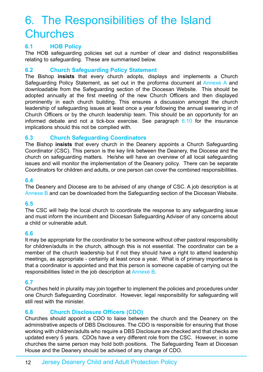### <span id="page-11-0"></span>6. The Responsibilities of the Island **Churches**

### **6.1 HOB Policy**

The HOB safeguarding policies set out a number of clear and distinct responsibilities relating to safeguarding. These are summarised below.

### **6.2 Church Safeguarding Policy Statement**

The Bishop **insists** that every church adopts, displays and implements a Church Safeguarding Policy Statement, as set out in the proforma document at Annexe A and downloadable from the Safeguarding section of the Diocesan Website. This should be adopted annually at the first meeting of the new Church Officers and then displayed prominently in each church building. This ensures a discussion amongst the church leadership of safeguarding issues at least once a year following the annual swearing in of Church Officers or by the church leadership team. This should be an opportunity for an informed debate and not a tick-box exercise. See paragraph  $6.10$  for the insurance implications should this not be complied with.

### **6.3 Church Safeguarding Coordinators**

The Bishop **insists** that every church in the Deanery appoints a Church Safeguarding Coordinator (CSC). This person is the key link between the Deanery, the Diocese and the church on safeguarding matters. He/she will have an overview of all local safeguarding issues and will monitor the implementation of the Deanery policy. There can be separate Coordinators for children and adults, or one person can cover the combined responsibilities.

### **6.4**

The Deanery and Diocese are to be advised of any change of CSC. A job description is at Annexe B and can be downloaded from the Safeguarding section of the Diocesan Website.

### **6.5**

The CSC will help the local church to coordinate the response to any safeguarding issue and must inform the incumbent and Diocesan Safeguarding Adviser of any concerns about a child or vulnerable adult.

### **6.6**

It may be appropriate for the coordinator to be someone without other pastoral responsibility for children/adults in the church, although this is not essential. The coordinator can be a member of the church leadership but if not they should have a right to attend leadership meetings, as appropriate - certainly at least once a year. What is of primary importance is that a coordinator is appointed and that this person is someone capable of carrying out the responsibilities listed in the job description at Annexe B.

### **6.7**

Churches held in plurality may join together to implement the policies and procedures under one Church Safeguarding Coordinator. However, legal responsibility for safeguarding will still rest with the minister.

### **6.8 Church Disclosure Officers (CDO)**

Churches should appoint a CDO to liaise between the church and the Deanery on the administrative aspects of DBS Disclosures. The CDO is responsible for ensuring that those working with children/adults who require a DBS Disclosure are checked and that checks are updated every 5 years. CDOs have a very different role from the CSC. However, in some churches the same person may hold both positions. The Safeguarding Team at Diocesan House and the Deanery should be advised of any change of CDO.

### 12 Jersey Deanery Child and Adult Protection Policy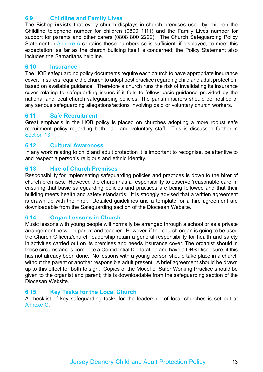### **6.9 Childline and Family Lives**

The Bishop **insists** that every church displays in church premises used by children the Childline telephone number for children (0800 1111) and the Family Lives number for support for parents and other carers (0808 800 2222). The Church Safeguarding Policy Statement in Annexe A contains these numbers so is sufficient, if displayed, to meet this expectation, as far as the church building itself is concerned; the Policy Statement also includes the Samaritans helpline.

### **6.10 Insurance**

The HOB safeguarding policy documents require each church to have appropriate insurance cover. Insurers require the church to adopt best practice regarding child and adult protection, based on available guidance. Therefore a church runs the risk of invalidating its insurance cover relating to safeguarding issues if it fails to follow basic guidance provided by the national and local church safeguarding policies. The parish insurers should be notified of any serious safeguarding allegations/actions involving paid or voluntary church workers.

### **6.11 Safe Recruitment**

Great emphasis in the HOB policy is placed on churches adopting a more robust safe recruitment policy regarding both paid and voluntary staff. This is discussed further in Section 13.

### **6.12 Cultural Awareness**

In any work relating to child and adult protection it is important to recognise, be attentive to and respect a person's religious and ethnic identity.

### **6.13 Hire of Church Premises**

Responsibility for implementing safeguarding policies and practices is down to the hirer of church premises. However, the church has a responsibility to observe 'reasonable care' in ensuring that basic safeguarding policies and practices are being followed and that their building meets health and safety standards. It is strongly advised that a written agreement is drawn up with the hirer. Detailed guidelines and a template for a hire agreement are downloadable from the Safeguarding section of the Diocesan Website.

### **6.14 Organ Lessons in Church**

Music lessons with young people will normally be arranged through a school or as a private arrangement between parent and teacher. However, if the church organ is going to be used the Church Officers/church leadership retain a general responsibility for health and safety in activities carried out on its premises and needs insurance cover. The organist should in these circumstances complete a Confidential Declaration and have a DBS Disclosure, if this has not already been done. No lessons with a young person should take place in a church without the parent or another responsible adult present. A brief agreement should be drawn up to this effect for both to sign. Copies of the Model of Safer Working Practice should be given to the organist and parent; this is downloadable from the safeguarding section of the Diocesan Website.

### **6.15 Key Tasks for the Local Church**

A checklist of key safeguarding tasks for the leadership of local churches is set out at Annexe C.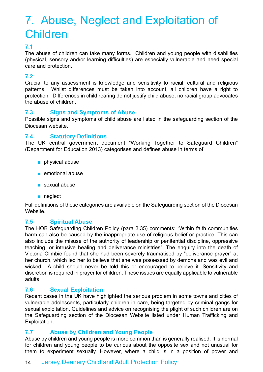## <span id="page-13-0"></span>7. Abuse, Neglect and Exploitation of Children

### **7.1**

The abuse of children can take many forms. Children and young people with disabilities (physical, sensory and/or learning difficulties) are especially vulnerable and need special care and protection.

### **7.2**

Crucial to any assessment is knowledge and sensitivity to racial, cultural and religious patterns. Whilst differences must be taken into account, all children have a right to protection. Differences in child rearing do not justify child abuse; no racial group advocates the abuse of children.

### **7.3 Signs and Symptoms of Abuse**

Possible signs and symptoms of child abuse are listed in the safeguarding section of the Diocesan website.

### **7.4 Statutory Definitions**

The UK central government document "Working Together to Safeguard Children" (Department for Education 2013) categorises and defines abuse in terms of:

- physical abuse
- emotional abuse
- sexual abuse
- neglect

Full definitions of these categories are available on the Safeguarding section of the Diocesan Website.

### **7.5 Spiritual Abuse**

The HOB Safeguarding Children Policy (para 3.35) comments: "Within faith communities harm can also be caused by the inappropriate use of religious belief or practice. This can also include the misuse of the authority of leadership or penitential discipline, oppressive teaching, or intrusive healing and deliverance ministries". The enquiry into the death of Victoria Climbie found that she had been severely traumatised by "deliverance prayer" at her church, which led her to believe that she was possessed by demons and was evil and wicked. A child should never be told this or encouraged to believe it. Sensitivity and discretion is required in prayer for children. These issues are equally applicable to vulnerable adults.

### **7.6 Sexual Exploitation**

Recent cases in the UK have highlighted the serious problem in some towns and cities of vulnerable adolescents, particularly children in care, being targeted by criminal gangs for sexual exploitation. Guidelines and advice on recognising the plight of such children are on the Safeguarding section of the Diocesan Website listed under Human Trafficking and Exploitation.

### **7.7 Abuse by Children and Young People**

Abuse by children and young people is more common than is generally realised. It is normal for children and young people to be curious about the opposite sex and not unusual for them to experiment sexually. However, where a child is in a position of power and

### 14 Jersey Deanery Child and Adult Protection Policy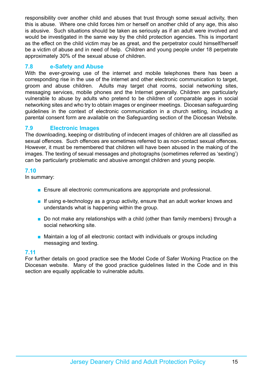responsibility over another child and abuses that trust through some sexual activity, then this is abuse. Where one child forces him or herself on another child of any age, this also is abusive. Such situations should be taken as seriously as if an adult were involved and would be investigated in the same way by the child protection agencies. This is important as the effect on the child victim may be as great, and the perpetrator could himself/herself be a victim of abuse and in need of help. Children and young people under 18 perpetrate approximately 30% of the sexual abuse of children.

### **7.8 e-Safety and Abuse**

With the ever-growing use of the internet and mobile telephones there has been a corresponding rise in the use of the internet and other electronic communication to target, groom and abuse children. Adults may target chat rooms, social networking sites, messaging services, mobile phones and the Internet generally. Children are particularly vulnerable to abuse by adults who pretend to be children of comparable ages in social networking sites and who try to obtain images or engineer meetings. Diocesan safeguarding guidelines in the context of electronic communication in a church setting, including a parental consent form are available on the Safeguarding section of the Diocesan Website.

### **7.9 Electronic Images**

The downloading, keeping or distributing of indecent images of children are all classified as sexual offences. Such offences are sometimes referred to as non-contact sexual offences. However, it must be remembered that children will have been abused in the making of the images. The texting of sexual messages and photographs (sometimes referred as 'sexting') can be particularly problematic and abusive amongst children and young people.

### **7.10**

In summary:

- Ensure all electronic communications are appropriate and professional.
- If using e-technology as a group activity, ensure that an adult worker knows and understands what is happening within the group.
- Do not make any relationships with a child (other than family members) through a social networking site.
- Maintain a log of all electronic contact with individuals or groups including messaging and texting.

### **7.11**

For further details on good practice see the Model Code of Safer Working Practice on the Diocesan website. Many of the good practice guidelines listed in the Code and in this section are equally applicable to vulnerable adults.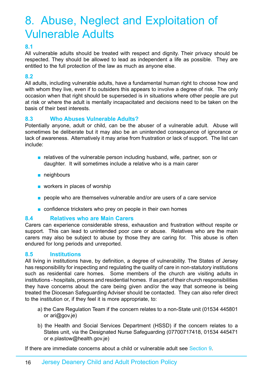### <span id="page-15-0"></span>8. Abuse, Neglect and Exploitation of Vulnerable Adults

### **8.1**

All vulnerable adults should be treated with respect and dignity. Their privacy should be respected. They should be allowed to lead as independent a life as possible. They are entitled to the full protection of the law as much as anyone else.

### **8.2**

All adults, including vulnerable adults, have a fundamental human right to choose how and with whom they live, even if to outsiders this appears to involve a degree of risk. The only occasion when that right should be superseded is in situations where other people are put at risk or where the adult is mentally incapacitated and decisions need to be taken on the basis of their best interests.

### **8.3 Who Abuses Vulnerable Adults?**

Potentially anyone, adult or child, can be the abuser of a vulnerable adult. Abuse will sometimes be deliberate but it may also be an unintended consequence of ignorance or lack of awareness. Alternatively it may arise from frustration or lack of support. The list can include:

- relatives of the vulnerable person including husband, wife, partner, son or daughter. It will sometimes include a relative who is a main carer
- neighbours
- workers in places of worship
- people who are themselves vulnerable and/or are users of a care service
- confidence tricksters who prey on people in their own homes

### **8.4 Relatives who are Main Carers**

Carers can experience considerable stress, exhaustion and frustration without respite or support. This can lead to unintended poor care or abuse. Relatives who are the main carers may also be subject to abuse by those they are caring for. This abuse is often endured for long periods and unreported.

### **8.5 Institutions**

All living in institutions have, by definition, a degree of vulnerability. The States of Jersey has responsibility for inspecting and regulating the quality of care in non-statutory institutions such as residential care homes. Some members of the church are visiting adults in institutions - hospitals, prisons and residential homes. If as part of their church responsibilities they have concerns about the care being given and/or the way that someone is being treated the Diocesan Safeguarding Adviser should be contacted. They can also refer direct to the institution or, if they feel it is more appropriate, to:

- a) the Care Regulation Team if the concern relates to a non-State unit (01534 445801 or ari@gov.je)
- b) the Health and Social Services Department (HSSD) if the concern relates to a States unit, via the Designated Nurse Safeguarding (07700717418, 01534 445471 or e.plastow@health.gov.je)

If there are immediate concerns about a child or vulnerable adult see Section 9.

### 16 Jersey Deanery Child and Adult Protection Policy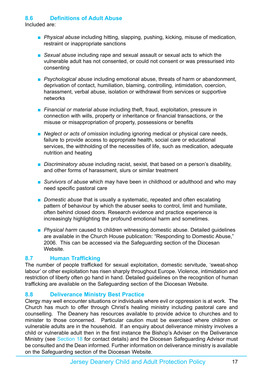### **8.6 Definitions of Adult Abuse**

Included are:

- *Physical abuse* including hitting, slapping, pushing, kicking, misuse of medication, restraint or inappropriate sanctions
- *Sexual abuse* including rape and sexual assault or sexual acts to which the vulnerable adult has not consented, or could not consent or was pressurised into consenting
- *Psychological abuse* including emotional abuse, threats of harm or abandonment, deprivation of contact, humiliation, blaming, controlling, intimidation, coercion, harassment, verbal abuse, isolation or withdrawal from services or supportive networks
- *Financial or material abuse* including theft, fraud, exploitation, pressure in connection with wills, property or inheritance or financial transactions, or the misuse or misappropriation of property, possessions or benefits
- *Neglect or acts of omission* including ignoring medical or physical care needs, failure to provide access to appropriate health, social care or educational services, the withholding of the necessities of life, such as medication, adequate nutrition and heating
- *Discriminatory abuse* including racist, sexist, that based on a person's disability, and other forms of harassment, slurs or similar treatment
- *Survivors of abuse* which may have been in childhood or adulthood and who may need specific pastoral care
- *Domestic abuse* that is usually a systematic, repeated and often escalating pattern of behaviour by which the abuser seeks to control, limit and humiliate, often behind closed doors. Research evidence and practice experience is increasingly highlighting the profound emotional harm and sometimes.
- *Physical harm* caused to children witnessing domestic abuse. Detailed guidelines are available in the Church House publication: "Responding to Domestic Abuse," 2006. This can be accessed via the Safeguarding section of the Diocesan Website.

### **8.7 Human Trafficking**

The number of people trafficked for sexual exploitation, domestic servitude, 'sweat-shop labour' or other exploitation has risen sharply throughout Europe. Violence, intimidation and restriction of liberty often go hand in hand. Detailed guidelines on the recognition of human trafficking are available on the Safeguarding section of the Diocesan Website.

### **8.8 Deliverance Ministry Best Practice**

Clergy may well encounter situations or individuals where evil or oppression is at work. The Church has much to offer through Christ's healing ministry including pastoral care and counselling. The Deanery has resources available to provide advice to churches and to minister to those concerned. Particular caution must be exercised where children or vulnerable adults are in the household. If an enquiry about deliverance ministry involves a child or vulnerable adult then in the first instance the Bishop's Adviser on the Deliverance Ministry (see Section 18 for contact details) and the Diocesan Safeguarding Advisor must be consulted and the Dean informed. Further information on deliverance ministry is available on the Safeguarding section of the Diocesan Website.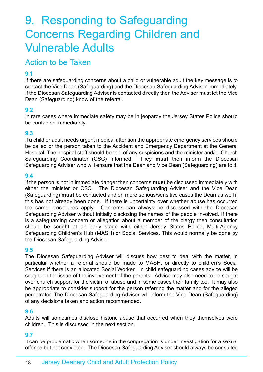### <span id="page-17-0"></span>9. Responding to Safeguarding Concerns Regarding Children and Vulnerable Adults

### Action to be Taken

### **9.1**

If there are safeguarding concerns about a child or vulnerable adult the key message is to contact the Vice Dean (Safeguarding) and the Diocesan Safeguarding Adviser immediately. If the Diocesan Safeguarding Adviser is contacted directly then the Adviser must let the Vice Dean (Safeguarding) know of the referral.

### **9.2**

In rare cases where immediate safety may be in jeopardy the Jersey States Police should be contacted immediately.

### **9.3**

If a child or adult needs urgent medical attention the appropriate emergency services should be called or the person taken to the Accident and Emergency Department at the General Hospital. The hospital staff should be told of any suspicions and the minister and/or Church Safeguarding Coordinator (CSC) informed. They **must** then inform the Diocesan Safeguarding Adviser who will ensure that the Dean and Vice Dean (Safeguarding) are told.

### **9.4**

If the person is not in immediate danger then concerns **must** be discussed immediately with either the minister or CSC. The Diocesan Safeguarding Adviser and the Vice Dean (Safeguarding) **must** be contacted and on more serious/sensitive cases the Dean as well if this has not already been done. If there is uncertainty over whether abuse has occurred the same procedures apply. Concerns can always be discussed with the Diocesan Safeguarding Adviser without initially disclosing the names of the people involved. If there is a safeguarding concern or allegation about a member of the clergy then consultation should be sought at an early stage with either Jersey States Police, Multi-Agency Safeguarding Children's Hub (MASH) or Social Services. This would normally be done by the Diocesan Safeguarding Adviser.

### **9.5**

The Diocesan Safeguarding Adviser will discuss how best to deal with the matter, in particular whether a referral should be made to MASH, or directly to children's Social Services if there is an allocated Social Worker. In child safeguarding cases advice will be sought on the issue of the involvement of the parents. Advice may also need to be sought over church support for the victim of abuse and in some cases their family too. It may also be appropriate to consider support for the person referring the matter and for the alleged perpetrator. The Diocesan Safeguarding Adviser will inform the Vice Dean (Safeguarding) of any decisions taken and action recommended.

### **9.6**

Adults will sometimes disclose historic abuse that occurred when they themselves were children. This is discussed in the next section.

### **9.7**

It can be problematic when someone in the congregation is under investigation for a sexual offence but not convicted. The Diocesan Safeguarding Adviser should always be consulted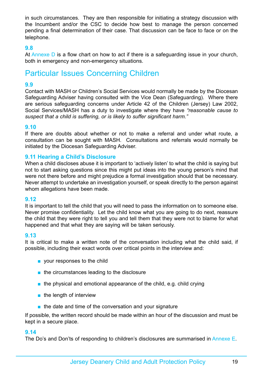<span id="page-18-0"></span>in such circumstances. They are then responsible for initiating a strategy discussion with the Incumbent and/or the CSC to decide how best to manage the person concerned pending a final determination of their case. That discussion can be face to face or on the telephone.

### **9.8**

At Annexe  $\overline{D}$  is a flow chart on how to act if there is a safeguarding issue in your church, both in emergency and non-emergency situations.

### Particular Issues Concerning Children

### **9.9**

Contact with MASH or Children's Social Services would normally be made by the Diocesan Safeguarding Adviser having consulted with the Vice Dean (Safeguarding). Where there are serious safeguarding concerns under Article 42 of the Children (Jersey) Law 2002, Social Services/MASH has a duty to investigate where they have *"reasonable cause to suspect that a child is suffering, or is likely to suffer significant harm."*

### **9.10**

If there are doubts about whether or not to make a referral and under what route, a consultation can be sought with MASH. Consultations and referrals would normally be initiated by the Diocesan Safeguarding Adviser.

### **9.11 Hearing a Child's Disclosure**

When a child discloses abuse it is important to 'actively listen' to what the child is saying but not to start asking questions since this might put ideas into the young person's mind that were not there before and might prejudice a formal investigation should that be necessary. Never attempt to undertake an investigation yourself, or speak directly to the person against whom allegations have been made.

### **9.12**

It is important to tell the child that you will need to pass the information on to someone else. Never promise confidentiality. Let the child know what you are going to do next, reassure the child that they were right to tell you and tell them that they were not to blame for what happened and that what they are saying will be taken seriously.

### **9.13**

It is critical to make a written note of the conversation including what the child said, if possible, including their exact words over critical points in the interview and:

- your responses to the child
- the circumstances leading to the disclosure
- the physical and emotional appearance of the child, e.g. child crying
- the length of interview
- the date and time of the conversation and your signature

If possible, the written record should be made within an hour of the discussion and must be kept in a secure place.

#### **9.14**

The Do's and Don'ts of responding to children's disclosures are summarised in Annexe E.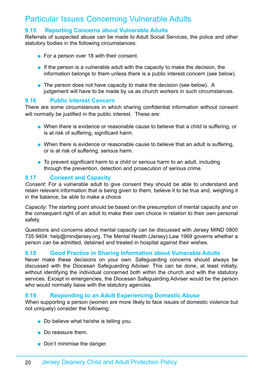### <span id="page-19-0"></span>Particular Issues Concerning Vulnerable Adults

### **9.15 Reporting Concerns about Vulnerable Adults**

Referrals of suspected abuse can be made to Adult Social Services, the police and other statutory bodies in the following circumstances:

- For a person over 18 with their consent.
- $\blacksquare$  If the person is a vulnerable adult with the capacity to make the decision, the information belongs to them unless there is a public interest concern (see below).
- The person does not have capacity to make the decision (see below). A judgement will have to be made by us as church workers in such circumstances.

#### **9.16 Public Interest Concern**

There are some circumstances in which sharing confidential information without consent will normally be justified in the public interest. These are:

- When there is evidence or reasonable cause to believe that a child is suffering, or is at risk of suffering, significant harm.
- When there is evidence or reasonable cause to believe that an adult is suffering, or is at risk of suffering, serious harm.
- To prevent significant harm to a child or serious harm to an adult, including through the prevention, detection and prosecution of serious crime.

### **9.17 Consent and Capacity**

*Consent*: For a vulnerable adult to give consent they should be able to understand and retain relevant information that is being given to them, believe it to be true and, weighing it in the balance, be able to make a choice.

*Capacity*: The starting point should be based on the presumption of mental capacity and on the consequent right of an adult to make their own choice in relation to their own personal safety.

Questions and concerns about mental capacity can be discussed with Jersey MIND 0800 735 9404: help@mindjersey.org. The Mental Health (Jersey) Law 1969 governs whether a person can be admitted, detained and treated in hospital against their wishes.

### **9.18 Good Practice in Sharing Information about Vulnerable Adults**

Never make these decisions on your own. Safeguarding concerns should always be discussed with the Diocesan Safeguarding Adviser. This can be done, at least initially, without identifying the individual concerned both within the church and with the statutory services. Except in emergencies, the Diocesan Safeguarding Adviser would be the person who would normally liaise with the statutory agencies.

### **9.19 Responding to an Adult Experiencing Domestic Abuse**

When supporting a person (women are more likely to face issues of domestic violence but not uniquely) consider the following:

- Do believe what he/she is telling you.
- Do reassure them.
- Don't minimise the danger.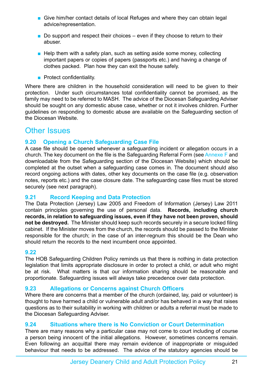- <span id="page-20-0"></span>■ Give him/her contact details of local Refuges and where they can obtain legal advice/representation.
- $\blacksquare$  Do support and respect their choices even if they choose to return to their abuser.
- Help them with a safety plan, such as setting aside some money, collecting important papers or copies of papers (passports etc.) and having a change of clothes packed. Plan how they can exit the house safely.
- Protect confidentiality.

Where there are children in the household consideration will need to be given to their protection. Under such circumstances total confidentiality cannot be promised, as the family may need to be referred to MASH. The advice of the Diocesan Safeguarding Adviser should be sought on any domestic abuse case, whether or not it involves children. Further guidelines on responding to domestic abuse are available on the Safeguarding section of the Diocesan Website.

### Other Issues

### **9.20 Opening a Church Safeguarding Case File**

A case file should be opened whenever a safeguarding incident or allegation occurs in a church. The key document on the file is the Safeguarding Referral Form (see Annexe F and downloadable from the Safeguarding section of the Diocesan Website) which should be completed at the outset when a safeguarding case comes in. The document should also record ongoing actions with dates, other key documents on the case file (e.g. observation notes, reports etc.) and the case closure date. The safeguarding case files must be stored securely (see next paragraph).

### **9.21 Record Keeping and Data Protection**

The Data Protection (Jersey) Law 2005 and Freedom of Information (Jersey) Law 2011 contain principles governing the use of personal data. **Records, including church records, in relation to safeguarding issues, even if they have not been proven, should not be destroyed.** The Minister should keep such records securely in a secure locked filing cabinet. If the Minister moves from the church, the records should be passed to the Minister responsible for the church; in the case of an inter-regnum this should be the Dean who should return the records to the next incumbent once appointed.

### **9.22**

The HOB Safeguarding Children Policy reminds us that there is nothing in data protection legislation that limits appropriate disclosure in order to protect a child, or adult who might be at risk. What matters is that our information sharing should be reasonable and proportionate. Safeguarding issues will always take precedence over data protection.

### **9.23 Allegations or Concerns against Church Officers**

Where there are concerns that a member of the church (ordained, lay, paid or volunteer) is thought to have harmed a child or vulnerable adult and/or has behaved in a way that raises questions as to their suitability in working with children or adults a referral must be made to the Diocesan Safeguarding Adviser.

### **9.24 Situations where there is No Conviction or Court Determination**

There are many reasons why a particular case may not come to court including of course a person being innocent of the initial allegations. However, sometimes concerns remain. Even following an acquittal there may remain evidence of inappropriate or misguided behaviour that needs to be addressed. The advice of the statutory agencies should be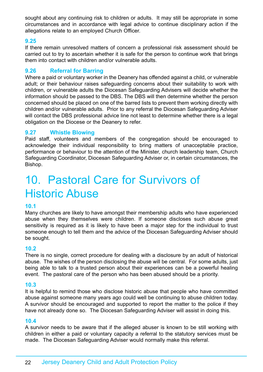<span id="page-21-0"></span>sought about any continuing risk to children or adults. It may still be appropriate in some circumstances and in accordance with legal advice to continue disciplinary action if the allegations relate to an employed Church Officer.

### **9.25**

If there remain unresolved matters of concern a professional risk assessment should be carried out to try to ascertain whether it is safe for the person to continue work that brings them into contact with children and/or vulnerable adults.

### **9.26 Referral for Barring**

Where a paid or voluntary worker in the Deanery has offended against a child, or vulnerable adult; or their behaviour raises safeguarding concerns about their suitability to work with children, or vulnerable adults the Diocesan Safeguarding Advisers will decide whether the information should be passed to the DBS. The DBS will then determine whether the person concerned should be placed on one of the barred lists to prevent them working directly with children and/or vulnerable adults. Prior to any referral the Diocesan Safeguarding Adviser will contact the DBS professional advice line not least to determine whether there is a legal obligation on the Diocese or the Deanery to refer.

### **9.27 Whistle Blowing**

Paid staff, volunteers and members of the congregation should be encouraged to acknowledge their individual responsibility to bring matters of unacceptable practice, performance or behaviour to the attention of the Minister, church leadership team, Church Safeguarding Coordinator, Diocesan Safeguarding Adviser or, in certain circumstances, the Bishop.

### 10. Pastoral Care for Survivors of Historic Abuse

### **10.1**

Many churches are likely to have amongst their membership adults who have experienced abuse when they themselves were children. If someone discloses such abuse great sensitivity is required as it is likely to have been a major step for the individual to trust someone enough to tell them and the advice of the Diocesan Safeguarding Adviser should be sought.

### **10.2**

There is no single, correct procedure for dealing with a disclosure by an adult of historical abuse. The wishes of the person disclosing the abuse will be central. For some adults, just being able to talk to a trusted person about their experiences can be a powerful healing event. The pastoral care of the person who has been abused should be a priority.

#### **10.3**

It is helpful to remind those who disclose historic abuse that people who have committed abuse against someone many years ago could well be continuing to abuse children today. A survivor should be encouraged and supported to report the matter to the police if they have not already done so. The Diocesan Safeguarding Adviser will assist in doing this.

#### **10.4**

A survivor needs to be aware that if the alleged abuser is known to be still working with children in either a paid or voluntary capacity a referral to the statutory services must be made. The Diocesan Safeguarding Adviser would normally make this referral.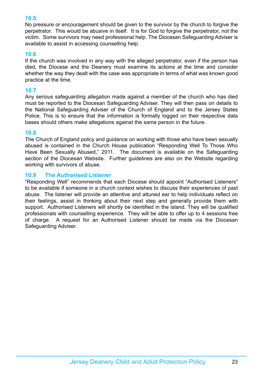### **10.5**

No pressure or encouragement should be given to the survivor by the church to forgive the perpetrator. This would be abusive in itself. It is for God to forgive the perpetrator, not the victim. Some survivors may need professional help. The Diocesan Safeguarding Adviser is available to assist in accessing counselling help.

### **10.6**

If the church was involved in any way with the alleged perpetrator, even if the person has died, the Diocese and the Deanery must examine its actions at the time and consider whether the way they dealt with the case was appropriate in terms of what was known good practice at the time.

### **10.7**

Any serious safeguarding allegation made against a member of the church who has died must be reported to the Diocesan Safeguarding Adviser. They will then pass on details to the National Safeguarding Adviser of the Church of England and to the Jersey States Police. This is to ensure that the information is formally logged on their respective data bases should others make allegations against the same person in the future.

### **10.8**

The Church of England policy and guidance on working with those who have been sexually abused is contained in the Church House publication "Responding Well To Those Who Have Been Sexually Abused," 2011. The document is available on the Safeguarding section of the Diocesan Website. Further guidelines are also on the Website regarding working with survivors of abuse.

### **10.9 The Authorised Listener**

"Responding Well" recommends that each Diocese should appoint "Authorised Listeners" to be available if someone in a church context wishes to discuss their experiences of past abuse. The listener will provide an attentive and attuned ear to help individuals reflect on their feelings, assist in thinking about their next step and generally provide them with support. Authorised Listeners will shortly be identified in the island. They will be qualified professionals with counselling experience. They will be able to offer up to 4 sessions free of charge. A request for an Authorised Listener should be made via the Diocesan Safeguarding Adviser.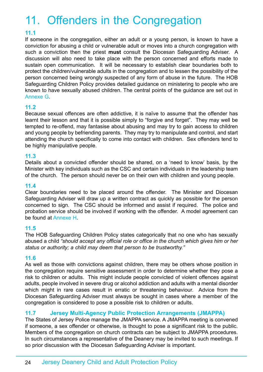# <span id="page-23-0"></span>11. Offenders in the Congregation

### **11.1**

If someone in the congregation, either an adult or a young person, is known to have a conviction for abusing a child or vulnerable adult or moves into a church congregation with such a conviction then the priest **must** consult the Diocesan Safeguarding Adviser. A discussion will also need to take place with the person concerned and efforts made to sustain open communication. It will be necessary to establish clear boundaries both to protect the children/vulnerable adults in the congregation and to lessen the possibility of the person concerned being wrongly suspected of any form of abuse in the future. The HOB Safeguarding Children Policy provides detailed guidance on ministering to people who are known to have sexually abused children. The central points of the guidance are set out in Annexe G.

### **11.2**

Because sexual offences are often addictive, it is naïve to assume that the offender has learnt their lesson and that it is possible simply to "forgive and forget". They may well be tempted to re-offend, may fantasise about abusing and may try to gain access to children and young people by befriending parents. They may try to manipulate and control, and start attending the church specifically to come into contact with children. Sex offenders tend to be highly manipulative people.

### **11.3**

Details about a convicted offender should be shared, on a 'need to know' basis, by the Minister with key individuals such as the CSC and certain individuals in the leadership team of the church. The person should never be on their own with children and young people.

### **11.4**

Clear boundaries need to be placed around the offender. The Minister and Diocesan Safeguarding Adviser will draw up a written contract as quickly as possible for the person concerned to sign. The CSC should be informed and assist if required. The police and probation service should be involved if working with the offender. A model agreement can be found at Annexe H.

### **11.5**

The HOB Safeguarding Children Policy states categorically that no one who has sexually abused a child *"should accept any official role or office in the church which gives him or her status or authority; a child may deem that person to be trustworthy."*

### **11.6**

As well as those with convictions against children, there may be others whose position in the congregation require sensitive assessment in order to determine whether they pose a risk to children or adults. This might include people convicted of violent offences against adults, people involved in severe drug or alcohol addiction and adults with a mental disorder which might in rare cases result in erratic or threatening behaviour. Advice from the Diocesan Safeguarding Adviser must always be sought in cases where a member of the congregation is considered to pose a possible risk to children or adults.

### **11.7 Jersey Multi-Agency Public Protection Arrangements (JMAPPA)**

The States of Jersey Police manage the JMAPPA service. A JMAPPA meeting is convened if someone, a sex offender or otherwise, is thought to pose a significant risk to the public. Members of the congregation on church contracts can be subject to JMAPPA procedures. In such circumstances a representative of the Deanery may be invited to such meetings. If so prior discussion with the Diocesan Safeguarding Adviser is important.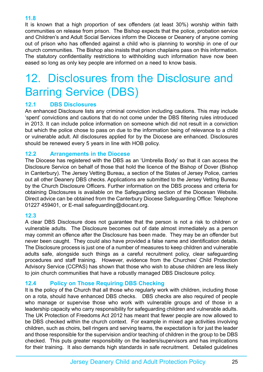### <span id="page-24-0"></span>**11.8**

It is known that a high proportion of sex offenders (at least 30%) worship within faith communities on release from prison. The Bishop expects that the police, probation service and Children's and Adult Social Services inform the Diocese or Deanery of anyone coming out of prison who has offended against a child who is planning to worship in one of our church communities. The Bishop also insists that prison chaplains pass on this information. The statutory confidentiality restrictions to withholding such information have now been eased so long as only key people are informed on a need to know basis.

## 12. Disclosures from the Disclosure and Barring Service (DBS)

### **12.1 DBS Disclosures**

An enhanced Disclosure lists any criminal conviction including cautions. This may include 'spent' convictions and cautions that do not come under the DBS filtering rules introduced in 2013. It can include police information on someone which did not result in a conviction but which the police chose to pass on due to the information being of relevance to a child or vulnerable adult. All disclosures applied for by the Diocese are enhanced. Disclosures should be renewed every 5 years in line with HOB policy.

### **12.2 Arrangements in the Diocese**

The Diocese has registered with the DBS as an 'Umbrella Body' so that it can access the Disclosure Service on behalf of those that hold the licence of the Bishop of Dover (Bishop in Canterbury). The Jersey Vetting Bureau, a section of the States of Jersey Police, carries out all other Deanery DBS checks. Applications are submitted to the Jersey Vetting Bureau by the Church Disclosure Officers. Further information on the DBS process and criteria for obtaining Disclosures is available on the Safeguarding section of the Diocesan Website. Direct advice can be obtained from the Canterbury Diocese Safeguarding Office: Telephone 01227 459401, or E-mail safeguarding@diocant.org.

### **12.3**

A clear DBS Disclosure does not guarantee that the person is not a risk to children or vulnerable adults. The Disclosure becomes out of date almost immediately as a person may commit an offence after the Disclosure has been made. They may be an offender but never been caught. They could also have provided a false name and identification details. The Disclosure process is just one of a number of measures to keep children and vulnerable adults safe, alongside such things as a careful recruitment policy, clear safeguarding procedures and staff training. However, evidence from the Churches' Child Protection Advisory Service (CCPAS) has shown that those who wish to abuse children are less likely to join church communities that have a robustly managed DBS Disclosure policy.

### **12.4 Policy on Those Requiring DBS Checking**

It is the policy of the Church that all those who regularly work with children, including those on a rota, should have enhanced DBS checks. DBS checks are also required of people who manage or supervise those who work with vulnerable groups and of those in a leadership capacity who carry responsibility for safeguarding children and vulnerable adults. The UK Protection of Freedoms Act 2012 has meant that fewer people are now allowed to be DBS checked within the church context. For example in mixed age activities involving children, such as choirs, bell ringers and serving teams, the expectation is for just the leader and those responsible for the supervision and/or teaching of children in the group to be DBS checked. This puts greater responsibility on the leaders/supervisors and has implications for their training. It also demands high standards in safe recruitment. Detailed guidelines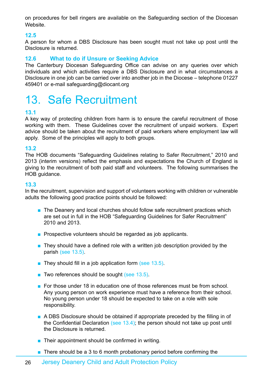<span id="page-25-0"></span>on procedures for bell ringers are available on the Safeguarding section of the Diocesan Website.

### **12.5**

A person for whom a DBS Disclosure has been sought must not take up post until the Disclosure is returned.

### **12.6 What to do if Unsure or Seeking Advice**

The Canterbury Diocesan Safeguarding Office can advise on any queries over which individuals and which activities require a DBS Disclosure and in what circumstances a Disclosure in one job can be carried over into another job in the Diocese – telephone 01227 459401 or e-mail safeguarding@diocant.org

### 13. Safe Recruitment

### **13.1**

A key way of protecting children from harm is to ensure the careful recruitment of those working with them. These Guidelines cover the recruitment of unpaid workers. Expert advice should be taken about the recruitment of paid workers where employment law will apply. Some of the principles will apply to both groups.

### **13.2**

The HOB documents "Safeguarding Guidelines relating to Safer Recruitment," 2010 and 2013 (interim versions) reflect the emphasis and expectations the Church of England is giving to the recruitment of both paid staff and volunteers. The following summarises the HOB guidance.

#### **13.3**

In the recruitment, supervision and support of volunteers working with children or vulnerable adults the following good practice points should be followed:

- The Deanery and local churches should follow safe recruitment practices which are set out in full in the HOB "Safeguarding Guidelines for Safer Recruitment" 2010 and 2013.
- Prospective volunteers should be regarded as job applicants.
- $\blacksquare$  They should have a defined role with a written job description provided by the parish (see 13.5).
- They should fill in a job application form (see 13.5).
- Two references should be sought (see 13.5).
- For those under 18 in education one of those references must be from school. Any young person on work experience must have a reference from their school. No young person under 18 should be expected to take on a role with sole responsibility.
- A DBS Disclosure should be obtained if appropriate preceded by the filling in of the Confidential Declaration (see 13.4); the person should not take up post until the Disclosure is returned.
- Their appointment should be confirmed in writing.
- There should be a 3 to 6 month probationary period before confirming the
- 26 Jersey Deanery Child and Adult Protection Policy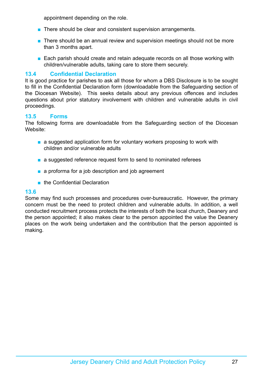appointment depending on the role.

- There should be clear and consistent supervision arrangements.
- There should be an annual review and supervision meetings should not be more than 3 months apart.
- Each parish should create and retain adequate records on all those working with children/vulnerable adults, taking care to store them securely.

### **13.4 Confidential Declaration**

It is good practice for parishes to ask all those for whom a DBS Disclosure is to be sought to fill in the Confidential Declaration form (downloadable from the Safeguarding section of the Diocesan Website). This seeks details about any previous offences and includes questions about prior statutory involvement with children and vulnerable adults in civil proceedings.

#### **13.5 Forms**

The following forms are downloadable from the Safeguarding section of the Diocesan Website:

- a suggested application form for voluntary workers proposing to work with children and/or vulnerable adults
- a suggested reference request form to send to nominated referees
- a proforma for a job description and job agreement
- the Confidential Declaration

#### **13.6**

Some may find such processes and procedures over-bureaucratic. However, the primary concern must be the need to protect children and vulnerable adults. In addition, a well conducted recruitment process protects the interests of both the local church, Deanery and the person appointed; it also makes clear to the person appointed the value the Deanery places on the work being undertaken and the contribution that the person appointed is making.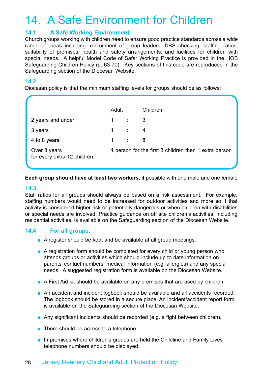### <span id="page-27-0"></span>14. A Safe Environment for Children

### **14.1 A Safe Working Environment**

Church groups working with children need to ensure good practice standards across a wide range of areas including: recruitment of group leaders; DBS checking; staffing ratios; suitability of premises; health and safety arrangements; and facilities for children with special needs. A helpful Model Code of Safer Working Practice is provided in the HOB Safeguarding Children Policy (p. 63-70). Key sections of this code are reproduced in the Safeguarding section of the Diocesan Website.

### **14.2**

Diocesan policy is that the minimum staffing levels for groups should be as follows:

|                                              | Adult             |                      | Children                                              |
|----------------------------------------------|-------------------|----------------------|-------------------------------------------------------|
| 2 years and under                            |                   | $1 \qquad \qquad$ :  | 3                                                     |
| 3 years                                      |                   | $1 \quad \therefore$ | 4                                                     |
| 4 to 8 years                                 | $1 \qquad \qquad$ |                      | 8                                                     |
| Over 8 years<br>for every extra 12 children. |                   |                      | 1 person for the first 8 children then 1 extra person |

**Each group should have at least two workers**, if possible with one male and one female

#### **14.3**

Staff ratios for all groups should always be based on a risk assessment. For example, staffing numbers would need to be increased for outdoor activities and more so if that activity is considered higher risk or potentially dangerous or when children with disabilities or special needs are involved. Practice guidance on off site children's activities, including residential activities, is available on the Safeguarding section of the Diocesan Website.

### **14.4 For all groups:**

- A register should be kept and be available at all group meetings.
- A registration form should be completed for every child or young person who attends groups or activities which should include up to date information on parents' contact numbers, medical information (e.g. allergies) and any special needs. A suggested registration form is available on the Diocesan Website.
- A First Aid kit should be available on any premises that are used by children
- An accident and incident logbook should be available and all accidents recorded. The logbook should be stored in a secure place. An incident/accident report form is available on the Safeguarding section of the Diocesan Website.
- Any significant incidents should be recorded (e.g. a fight between children).
- There should be access to a telephone.
- In premises where children's groups are held the Childline and Family Lives telephone numbers should be displayed.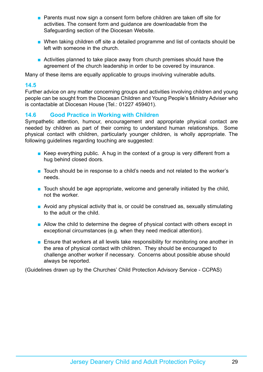- Parents must now sign a consent form before children are taken off site for activities. The consent form and guidance are downloadable from the Safeguarding section of the Diocesan Website.
- When taking children off site a detailed programme and list of contacts should be left with someone in the church.
- Activities planned to take place away from church premises should have the agreement of the church leadership in order to be covered by insurance.

Many of these items are equally applicable to groups involving vulnerable adults.

### **14.5**

Further advice on any matter concerning groups and activities involving children and young people can be sought from the Diocesan Children and Young People's Ministry Adviser who is contactable at Diocesan House (Tel.: 01227 459401).

### **14.6 Good Practice in Working with Children**

Sympathetic attention, humour, encouragement and appropriate physical contact are needed by children as part of their coming to understand human relationships. Some physical contact with children, particularly younger children, is wholly appropriate. The following guidelines regarding touching are suggested:

- **EXECT** Everything public. A hug in the context of a group is very different from a hug behind closed doors.
- Touch should be in response to a child's needs and not related to the worker's needs.
- Touch should be age appropriate, welcome and generally initiated by the child, not the worker.
- Avoid any physical activity that is, or could be construed as, sexually stimulating to the adult or the child.
- Allow the child to determine the degree of physical contact with others except in exceptional circumstances (e.g. when they need medical attention).
- Ensure that workers at all levels take responsibility for monitoring one another in the area of physical contact with children. They should be encouraged to challenge another worker if necessary. Concerns about possible abuse should always be reported.

(Guidelines drawn up by the Churches' Child Protection Advisory Service - CCPAS)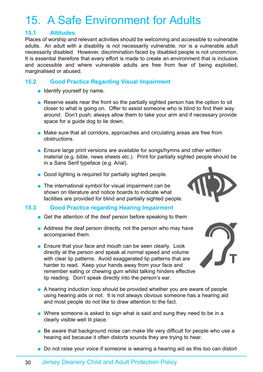### <span id="page-29-0"></span>15. A Safe Environment for Adults

### **15.1 Attitudes**

Places of worship and relevant activities should be welcoming and accessible to vulnerable adults. An adult with a disability is not necessarily vulnerable, nor is a vulnerable adult necessarily disabled. However, discrimination faced by disabled people is not uncommon. It is essential therefore that every effort is made to create an environment that is inclusive and accessible and where vulnerable adults are free from fear of being exploited, marginalised or abused.

### **15.2 Good Practice Regarding Visual Impairment**

- Identify yourself by name.
- Reserve seats near the front so the partially sighted person has the option to sit closer to what is going on. Offer to assist someone who is blind to find their way around. Don't push; always allow them to take your arm and if necessary provide space for a guide dog to lie down.
- Make sure that all corridors, approaches and circulating areas are free from obstructions.
- Ensure large print versions are available for songs/hymns and other written material (e.g. bible, news sheets etc.). Print for partially sighted people should be in a Sans Serif typeface (e.g. Arial).
- Good lighting is required for partially sighted people.
- The international symbol for visual impairment can be shown on literature and notice boards to indicate what facilities are provided for blind and partially sighted people.

### **15.3 Good Practice regarding Hearing Impairment**

- Get the attention of the deaf person before speaking to them
- Address the deaf person directly, not the person who may have accompanied them.
- Ensure that your face and mouth can be seen clearly. Look directly at the person and speak at normal speed and volume with clear lip patterns. Avoid exaggerated lip patterns that are harder to read. Keep your hands away from your face and remember eating or chewing gum whilst talking hinders effective lip reading. Don't speak directly into the person's ear.
- A hearing induction loop should be provided whether you are aware of people using hearing aids or not. It is not always obvious someone has a hearing aid and most people do not like to draw attention to the fact.
- Where someone is asked to sign what is said and sung they need to be in a clearly visible well lit place.
- Be aware that background noise can make life very difficult for people who use a hearing aid because it often distorts sounds they are trying to hear.
- Do not raise your voice if someone is wearing a hearing aid as this too can distort



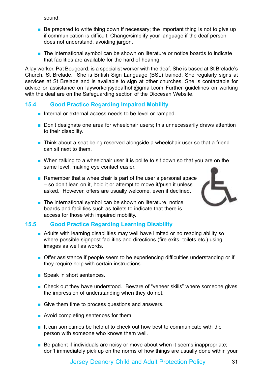sound.

- Be prepared to write thing down if necessary; the important thing is not to give up if communication is difficult. Change/simplify your language if the deaf person does not understand, avoiding jargon.
- The international symbol can be shown on literature or notice boards to indicate that facilities are available for the hard of hearing.

A lay worker, Pat Bougeard, is a specialist worker with the deaf. She is based at St Brelade's Church, St Brelade. She is British Sign Language (BSL) trained. She regularly signs at services at St Brelade and is available to sign at other churches. She is contactable for advice or assistance on layworkerjsydeafhoh@gmail.com Further guidelines on working with the deaf are on the Safeguarding section of the Diocesan Website.

### **15.4 Good Practice Regarding Impaired Mobility**

- Internal or external access needs to be level or ramped.
- Don't designate one area for wheelchair users; this unnecessarily draws attention to their disability.
- Think about a seat being reserved alongside a wheelchair user so that a friend can sit next to them.
- When talking to a wheelchair user it is polite to sit down so that you are on the same level, making eye contact easier.
- Remember that a wheelchair is part of the user's personal space – so don't lean on it, hold it or attempt to move it/push it unless asked. However, offers are usually welcome, even if declined.



■ The international symbol can be shown on literature, notice boards and facilities such as toilets to indicate that there is access for those with impaired mobility.

### **15.5 Good Practice Regarding Learning Disability**

- Adults with learning disabilities may well have limited or no reading ability so where possible signpost facilities and directions (fire exits, toilets etc.) using images as well as words.
- Offer assistance if people seem to be experiencing difficulties understanding or if they require help with certain instructions.
- Speak in short sentences.
- Check out they have understood. Beware of "veneer skills" where someone gives the impression of understanding when they do not.
- Give them time to process questions and answers.
- Avoid completing sentences for them.
- It can sometimes be helpful to check out how best to communicate with the person with someone who knows them well.
- Be patient if individuals are noisy or move about when it seems inappropriate; don't immediately pick up on the norms of how things are usually done within your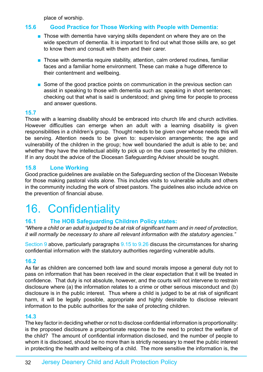place of worship.

### <span id="page-31-0"></span>**15.6 Good Practice for Those Working with People with Dementia:**

- Those with dementia have varying skills dependent on where they are on the wide spectrum of dementia. It is important to find out what those skills are, so get to know them and consult with them and their carer.
- Those with dementia require stability, attention, calm ordered routines, familiar faces and a familiar home environment. These can make a huge difference to their contentment and wellbeing.
- Some of the good practice points on communication in the previous section can assist in speaking to those with dementia such as: speaking in short sentences; checking out that what is said is understood; and giving time for people to process and answer questions.

### **15.7**

Those with a learning disability should be embraced into church life and church activities. However difficulties can emerge when an adult with a learning disability is given responsibilities in a children's group. Thought needs to be given over whose needs this will be serving. Attention needs to be given to: supervision arrangements; the age and vulnerability of the children in the group; how well boundaried the adult is able to be; and whether they have the intellectual ability to pick up on the cues presented by the children. If in any doubt the advice of the Diocesan Safeguarding Adviser should be sought.

### **15.8 Lone Working**

Good practice guidelines are available on the Safeguarding section of the Diocesan Website for those making pastoral visits alone. This includes visits to vulnerable adults and others in the community including the work of street pastors. The guidelines also include advice on the prevention of financial abuse.

### 16. Confidentiality

### **16.1 The HOB Safeguarding Children Policy states:**

*"Where a child or an adult is judged to be at risk of significant harm and in need of protection, it will normally be necessary to share all relevant information with the statutory agencies."*

Section 9 above, particularly paragraphs 9.15 to 9.26 discuss the circumstances for sharing confidential information with the statutory authorities regarding vulnerable adults.

### **16.2**

As far as children are concerned both law and sound morals impose a general duty not to pass on information that has been received in the clear expectation that it will be treated in confidence. That duty is not absolute, however, and the courts will not intervene to restrain disclosure where (a) the information relates to a crime or other serious misconduct and (b) disclosure is in the public interest. Thus where a child is judged to be at risk of significant harm, it will be legally possible, appropriate and highly desirable to disclose relevant information to the public authorities for the sake of protecting children.

### **14.3**

The key factor in deciding whether or not to disclose confidential information is proportionality: is the proposed disclosure a proportionate response to the need to protect the welfare of the child? The amount of confidential information disclosed, and the number of people to whom it is disclosed, should be no more than is strictly necessary to meet the public interest in protecting the health and wellbeing of a child. The more sensitive the information is, the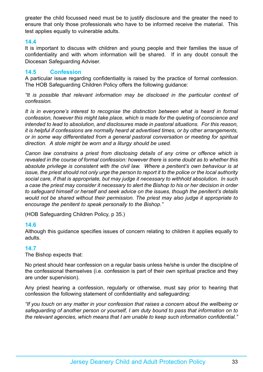greater the child focussed need must be to justify disclosure and the greater the need to ensure that only those professionals who have to be informed receive the material. This test applies equally to vulnerable adults.

#### **14.4**

It is important to discuss with children and young people and their families the issue of confidentiality and with whom information will be shared. If in any doubt consult the Diocesan Safeguarding Adviser.

#### **14.5 Confession**

A particular issue regarding confidentiality is raised by the practice of formal confession. The HOB Safeguarding Children Policy offers the following guidance:

*"It is possible that relevant information may be disclosed in the particular context of confession.*

*It is in everyone's interest to recognise the distinction between what is heard in formal confession, however this might take place, which is made for the quieting of conscience and intended to lead to absolution, and disclosures made in pastoral situations. For this reason, it is helpful if confessions are normally heard at advertised times, or by other arrangements, or in some way differentiated from a general pastoral conversation or meeting for spiritual direction. A stole might be worn and a liturgy should be used.*

*Canon law constrains a priest from disclosing details of any crime or offence which is revealed in the course of formal confession: however there is some doubt as to whether this absolute privilege is consistent with the civil law. Where a penitent's own behaviour is at issue, the priest should not only urge the person to report it to the police or the local authority social care, if that is appropriate, but may judge it necessary to withhold absolution. In such a case the priest may consider it necessary to alert the Bishop to his or her decision in order to safeguard himself or herself and seek advice on the issues, though the penitent's details would not be shared without their permission. The priest may also judge it appropriate to encourage the penitent to speak personally to the Bishop."*

(HOB Safeguarding Children Policy, p 35.)

### **14.6**

Although this guidance specifies issues of concern relating to children it applies equally to adults.

#### **14.7**

The Bishop expects that:

No priest should hear confession on a regular basis unless he/she is under the discipline of the confessional themselves (i.e. confession is part of their own spiritual practice and they are under supervision).

Any priest hearing a confession, regularly or otherwise, must say prior to hearing that confession the following statement of confidentiality and safeguarding:

*"If you touch on any matter in your confession that raises a concern about the wellbeing or safeguarding of another person or yourself, I am duty bound to pass that information on to the relevant agencies, which means that I am unable to keep such information confidential."*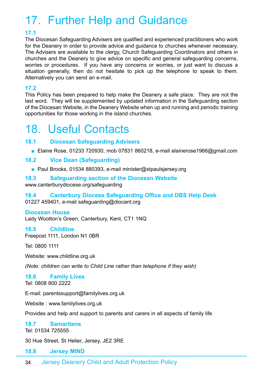# <span id="page-33-0"></span>17. Further Help and Guidance

### **17.1**

The Diocesan Safeguarding Advisers are qualified and experienced practitioners who work for the Deanery in order to provide advice and guidance to churches whenever necessary. The Advisers are available to the clergy, Church Safeguarding Coordinators and others in churches and the Deanery to give advice on specific and general safeguarding concerns, worries or procedures. If you have any concerns or worries, or just want to discuss a situation generally, then do not hesitate to pick up the telephone to speak to them. Alternatively you can send an e-mail.

### **17.2**

This Policy has been prepared to help make the Deanery a safe place. They are not the last word. They will be supplemented by updated information in the Safeguarding section of the Diocesan Website, in the Deanery Website when up and running and periodic training opportunities for those working in the island churches.

### 18. Useful Contacts

### **18.1 Diocesan Safeguarding Advisers**

■ Elaine Rose, 01233 720930, mob 07831 860218, e-mail elainerose1966@gmail.com

### **18.2 Vice Dean (Safeguarding)**

■ Paul Brooks, 01534 880393, e-mail minister@stpaulsjersey.org

### **18.3 Safeguarding section of the Diocesan Website**

www.canterburydiocese.org/safeguarding

### **18.4 Canterbury Diocese Safeguarding Office and DBS Help Desk**

01227 459401, e-mail safeguarding@diocant.org

### **Diocesan House**

Lady Wootton's Green, Canterbury, Kent, CT1 1NQ

### **18.5 Childline**

Freepost 1111, London N1 0BR

Tel: 0800 1111

Website: www.childline.org.uk

*(Note: children can write to Child Line rather than telephone if they wish)*

### **18.6 Family Lives**

Tel: 0808 800 2222

E-mail: parentssupport@familylives.org.uk

Website : www.familylives.org.uk

Provides and help and support to parents and carers in all aspects of family life

### **18.7 Samaritans**

Tel: 01534 725555

30 Hue Street, St Helier, Jersey, JE2 3RE

### **18.8 Jersey MIND**

34 Jersey Deanery Child and Adult Protection Policy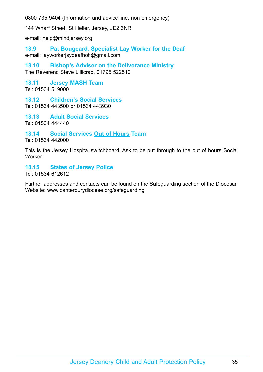0800 735 9404 (Information and advice line, non emergency)

144 Wharf Street, St Helier, Jersey, JE2 3NR

e-mail: help@mindjersey.org

**18.9 Pat Bougeard, Specialist Lay Worker for the Deaf** e-mail: layworkerjsydeafhoh@gmail.com

**18.10 Bishop's Adviser on the Deliverance Ministry** The Reverend Steve Lillicrap, 01795 522510

**18.11 Jersey MASH Team** Tel: 01534 519000

**18.12 Children's Social Services** Tel: 01534 443500 or 01534 443930

**18.13 Adult Social Services** Tel: 01534 444440

### **18.14 Social Services Out of Hours Team**

Tel: 01534 442000

This is the Jersey Hospital switchboard. Ask to be put through to the out of hours Social Worker.

### **18.15 States of Jersey Police**

Tel: 01534 612612

Further addresses and contacts can be found on the Safeguarding section of the Diocesan Website: www.canterburydiocese.org/safeguarding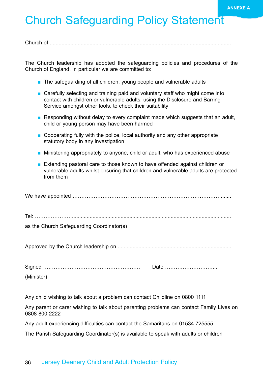### <span id="page-35-0"></span>**Church Safeguarding Policy Statement**

Church of ...........................................................................................................................

The Church leadership has adopted the safeguarding policies and procedures of the Church of England. In particular we are committed to:

- The safeguarding of all children, young people and vulnerable adults
- Carefully selecting and training paid and voluntary staff who might come into contact with children or vulnerable adults, using the Disclosure and Barring Service amongst other tools, to check their suitability
- Responding without delay to every complaint made which suggests that an adult, child or young person may have been harmed
- Cooperating fully with the police, local authority and any other appropriate statutory body in any investigation
- Ministering appropriately to anyone, child or adult, who has experienced abuse
- Extending pastoral care to those known to have offended against children or vulnerable adults whilst ensuring that children and vulnerable adults are protected from them

|--|--|

as the Church Safeguarding Coordinator(s)

Approved by the Church leadership on .............................................................................

Signed ………………………………………………. Date ………………………... (Minister)

Any child wishing to talk about a problem can contact Childline on 0800 1111

Any parent or carer wishing to talk about parenting problems can contact Family Lives on 0808 800 2222

Any adult experiencing difficulties can contact the Samaritans on 01534 725555

The Parish Safeguarding Coordinator(s) is available to speak with adults or children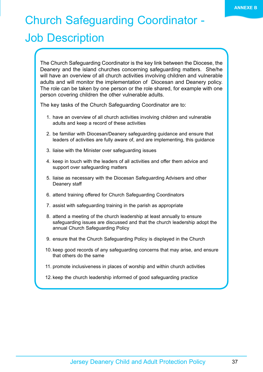# <span id="page-36-0"></span>Church Safeguarding Coordinator -

### Job Description

The Church Safeguarding Coordinator is the key link between the Diocese, the Deanery and the island churches concerning safeguarding matters. She/he will have an overview of all church activities involving children and vulnerable adults and will monitor the implementation of Diocesan and Deanery policy. The role can be taken by one person or the role shared, for example with one person covering children the other vulnerable adults.

The key tasks of the Church Safeguarding Coordinator are to:

- 1. have an overview of all church activities involving children and vulnerable adults and keep a record of these activities
- 2. be familiar with Diocesan/Deanery safeguarding guidance and ensure that leaders of activities are fully aware of, and are implementing, this guidance
- 3. liaise with the Minister over safeguarding issues
- 4. keep in touch with the leaders of all activities and offer them advice and support over safeguarding matters
- 5. liaise as necessary with the Diocesan Safeguarding Advisers and other Deanery staff
- 6. attend training offered for Church Safeguarding Coordinators
- 7. assist with safeguarding training in the parish as appropriate
- 8. attend a meeting of the church leadership at least annually to ensure safeguarding issues are discussed and that the church leadership adopt the annual Church Safeguarding Policy
- 9. ensure that the Church Safeguarding Policy is displayed in the Church
- 10. keep good records of any safeguarding concerns that may arise, and ensure that others do the same
- 11. promote inclusiveness in places of worship and within church activities
- 12. keep the church leadership informed of good safeguarding practice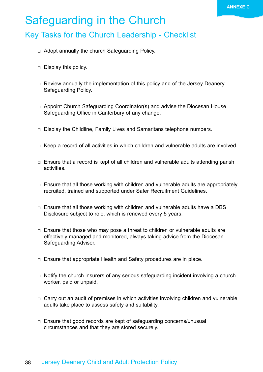### <span id="page-37-0"></span>Safeguarding in the Church

### Key Tasks for the Church Leadership - Checklist

- $\Box$  Adopt annually the church Safeguarding Policy.
- $\Box$  Display this policy.
- $\Box$  Review annually the implementation of this policy and of the Jersey Deanery Safeguarding Policy.
- $\Box$  Appoint Church Safeguarding Coordinator(s) and advise the Diocesan House Safeguarding Office in Canterbury of any change.
- $\Box$  Display the Childline, Family Lives and Samaritans telephone numbers.
- $\Box$  Keep a record of all activities in which children and vulnerable adults are involved.
- $\Box$  Ensure that a record is kept of all children and vulnerable adults attending parish activities.
- $\Box$  Ensure that all those working with children and vulnerable adults are appropriately recruited, trained and supported under Safer Recruitment Guidelines.
- $\Box$  Ensure that all those working with children and vulnerable adults have a DBS Disclosure subject to role, which is renewed every 5 years.
- $\Box$  Ensure that those who may pose a threat to children or vulnerable adults are effectively managed and monitored, always taking advice from the Diocesan Safeguarding Adviser.
- $\Box$  Ensure that appropriate Health and Safety procedures are in place.
- $\Box$  Notify the church insurers of any serious safeguarding incident involving a church worker, paid or unpaid.
- $\Box$  Carry out an audit of premises in which activities involving children and vulnerable adults take place to assess safety and suitability.
- $\Box$  Ensure that good records are kept of safeguarding concerns/unusual circumstances and that they are stored securely.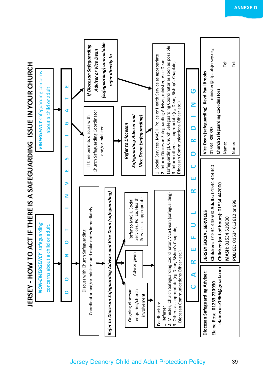<span id="page-38-0"></span>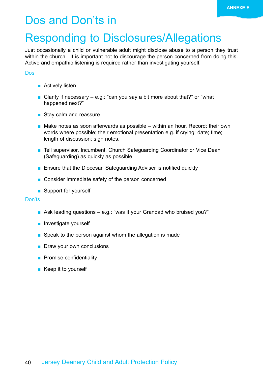### <span id="page-39-0"></span>Dos and Don'ts in

### Responding to Disclosures/Allegations

Just occasionally a child or vulnerable adult might disclose abuse to a person they trust within the church. It is important not to discourage the person concerned from doing this. Active and empathic listening is required rather than investigating yourself.

#### Dos

- Actively listen
- Clarify if necessary  $-$  e.g.: "can you say a bit more about that?" or "what happened next?"
- Stay calm and reassure
- $\blacksquare$  Make notes as soon afterwards as possible within an hour. Record: their own words where possible; their emotional presentation e.g. if crying; date; time; length of discussion; sign notes.
- Tell supervisor, Incumbent, Church Safeguarding Coordinator or Vice Dean (Safeguarding) as quickly as possible
- Ensure that the Diocesan Safeguarding Adviser is notified quickly
- Consider immediate safety of the person concerned
- Support for yourself

#### Don'ts

- Ask leading questions e.g.: "was it your Grandad who bruised you?"
- Investigate yourself
- Speak to the person against whom the allegation is made
- Draw your own conclusions
- Promise confidentiality
- Keep it to yourself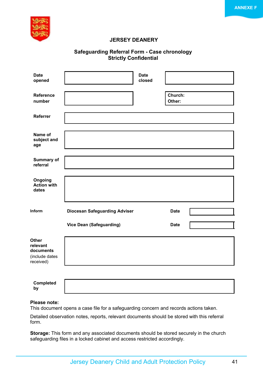

#### **JERSEY DEANERY**

#### **Safeguarding Referral Form - Case chronology Strictly Confidential**

| <b>Date</b><br>opened                                         |                                      | <b>Date</b><br>closed |                   |  |
|---------------------------------------------------------------|--------------------------------------|-----------------------|-------------------|--|
| <b>Reference</b><br>number                                    |                                      |                       | Church:<br>Other: |  |
| Referrer                                                      |                                      |                       |                   |  |
| Name of<br>subject and<br>age                                 |                                      |                       |                   |  |
| Summary of<br>referral                                        |                                      |                       |                   |  |
| Ongoing<br><b>Action with</b><br>dates                        |                                      |                       |                   |  |
| Inform                                                        | <b>Diocesan Safeguarding Adviser</b> |                       | <b>Date</b>       |  |
|                                                               | <b>Vice Dean (Safeguarding)</b>      |                       | <b>Date</b>       |  |
| Other<br>relevant<br>documents<br>(include dates<br>received) |                                      |                       |                   |  |
|                                                               |                                      |                       |                   |  |
| Completed<br>by                                               |                                      |                       |                   |  |

#### **Please note:**

This document opens a case file for a safeguarding concern and records actions taken.

Detailed observation notes, reports, relevant documents should be stored with this referral form.

**Storage:** This form and any associated documents should be stored securely in the church safeguarding files in a locked cabinet and access restricted accordingly.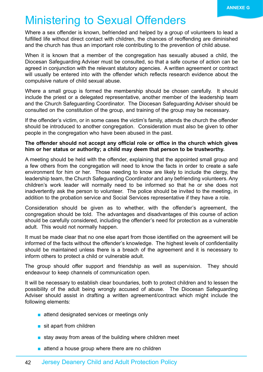### <span id="page-41-0"></span>Ministering to Sexual Offenders

Where a sex offender is known, befriended and helped by a group of volunteers to lead a fulfilled life without direct contact with children, the chances of reoffending are diminished and the church has thus an important role contributing to the prevention of child abuse.

When it is known that a member of the congregation has sexually abused a child, the Diocesan Safeguarding Adviser must be consulted, so that a safe course of action can be agreed in conjunction with the relevant statutory agencies. A written agreement or contract will usually be entered into with the offender which reflects research evidence about the compulsive nature of child sexual abuse.

Where a small group is formed the membership should be chosen carefully. It should include the priest or a delegated representative, another member of the leadership team and the Church Safeguarding Coordinator. The Diocesan Safeguarding Adviser should be consulted on the constitution of the group, and training of the group may be necessary.

If the offender's victim, or in some cases the victim's family, attends the church the offender should be introduced to another congregation. Consideration must also be given to other people in the congregation who have been abused in the past.

#### **The offender should not accept any official role or office in the church which gives him or her status or authority; a child may deem that person to be trustworthy.**

A meeting should be held with the offender, explaining that the appointed small group and a few others from the congregation will need to know the facts in order to create a safe environment for him or her. Those needing to know are likely to include the clergy, the leadership team, the Church Safeguarding Coordinator and any befriending volunteers. Any children's work leader will normally need to be informed so that he or she does not inadvertently ask the person to volunteer. The police should be invited to the meeting, in addition to the probation service and Social Services representative if they have a role.

Consideration should be given as to whether, with the offender's agreement, the congregation should be told. The advantages and disadvantages of this course of action should be carefully considered, including the offender's need for protection as a vulnerable adult. This would not normally happen.

It must be made clear that no one else apart from those identified on the agreement will be informed of the facts without the offender's knowledge. The highest levels of confidentiality should be maintained unless there is a breach of the agreement and it is necessary to inform others to protect a child or vulnerable adult.

The group should offer support and friendship as well as supervision. They should endeavour to keep channels of communication open.

It will be necessary to establish clear boundaries, both to protect children and to lessen the possibility of the adult being wrongly accused of abuse. The Diocesan Safeguarding Adviser should assist in drafting a written agreement/contract which might include the following elements:

- attend designated services or meetings only
- sit apart from children
- stay away from areas of the building where children meet
- attend a house group where there are no children

### 42 Jersey Deanery Child and Adult Protection Policy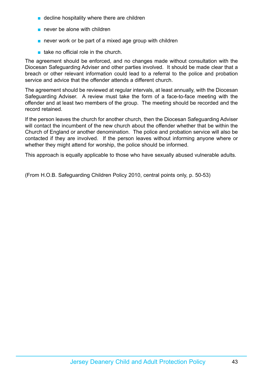- decline hospitality where there are children
- never be alone with children
- never work or be part of a mixed age group with children
- take no official role in the church.

The agreement should be enforced, and no changes made without consultation with the Diocesan Safeguarding Adviser and other parties involved. It should be made clear that a breach or other relevant information could lead to a referral to the police and probation service and advice that the offender attends a different church.

The agreement should be reviewed at regular intervals, at least annually, with the Diocesan Safeguarding Adviser. A review must take the form of a face-to-face meeting with the offender and at least two members of the group. The meeting should be recorded and the record retained.

If the person leaves the church for another church, then the Diocesan Safeguarding Adviser will contact the incumbent of the new church about the offender whether that be within the Church of England or another denomination. The police and probation service will also be contacted if they are involved. If the person leaves without informing anyone where or whether they might attend for worship, the police should be informed.

This approach is equally applicable to those who have sexually abused vulnerable adults.

(From H.O.B. Safeguarding Children Policy 2010, central points only, p. 50-53)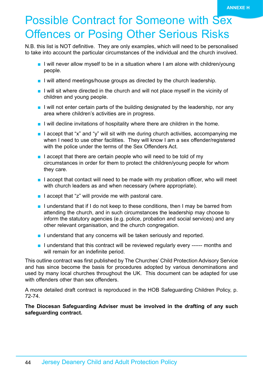# <span id="page-43-0"></span>Possible Contract for Someone with Sex **Offences or Posing Other Serious Risks**

N.B. this list is NOT definitive. They are only examples, which will need to be personalised to take into account the particular circumstances of the individual and the church involved.

- I will never allow myself to be in a situation where I am alone with children/young people.
- I will attend meetings/house groups as directed by the church leadership.
- I will sit where directed in the church and will not place myself in the vicinity of children and young people.
- I will not enter certain parts of the building designated by the leadership, nor any area where children's activities are in progress.
- I will decline invitations of hospitality where there are children in the home.
- I accept that "x" and "y" will sit with me during church activities, accompanying me when I need to use other facilities. They will know I am a sex offender/registered with the police under the terms of the Sex Offenders Act.
- $\blacksquare$  I accept that there are certain people who will need to be told of my circumstances in order for them to protect the children/young people for whom they care.
- I accept that contact will need to be made with my probation officer, who will meet with church leaders as and when necessary (where appropriate).
- I accept that "z" will provide me with pastoral care.
- I understand that if I do not keep to these conditions, then I may be barred from attending the church, and in such circumstances the leadership may choose to inform the statutory agencies (e.g. police, probation and social services) and any other relevant organisation, and the church congregation.
- I understand that any concerns will be taken seriously and reported.
- I understand that this contract will be reviewed regularly every ------ months and will remain for an indefinite period.

This outline contract was first published by The Churches' Child Protection Advisory Service and has since become the basis for procedures adopted by various denominations and used by many local churches throughout the UK. This document can be adapted for use with offenders other than sex offenders.

A more detailed draft contract is reproduced in the HOB Safeguarding Children Policy, p. 72-74.

**The Diocesan Safeguarding Adviser must be involved in the drafting of any such safeguarding contract.**